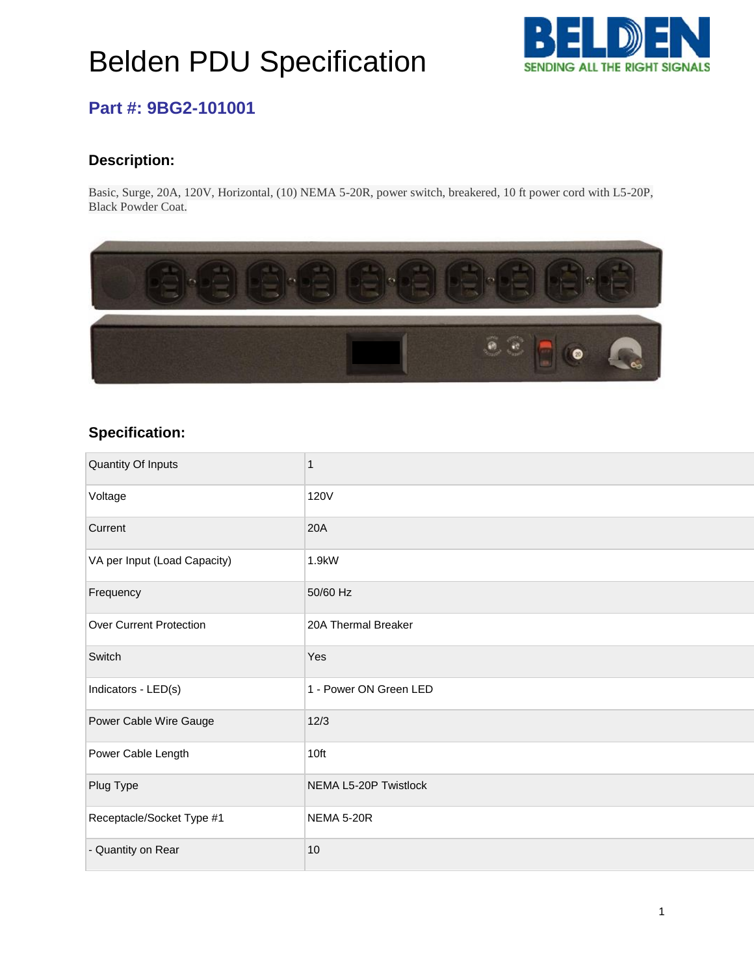## Belden PDU Specification



### **Part #: 9BG2-101001**

#### **Description:**

Basic, Surge, 20A, 120V, Horizontal, (10) NEMA 5-20R, power switch, breakered, 10 ft power cord with L5-20P, Black Powder Coat.



#### **Specification:**

| Quantity Of Inputs             | 1                      |
|--------------------------------|------------------------|
| Voltage                        | <b>120V</b>            |
| Current                        | 20A                    |
| VA per Input (Load Capacity)   | 1.9kW                  |
| Frequency                      | 50/60 Hz               |
| <b>Over Current Protection</b> | 20A Thermal Breaker    |
| Switch                         | Yes                    |
| Indicators - LED(s)            | 1 - Power ON Green LED |
| Power Cable Wire Gauge         | 12/3                   |
| Power Cable Length             | 10ft                   |
| Plug Type                      | NEMA L5-20P Twistlock  |
| Receptacle/Socket Type #1      | <b>NEMA 5-20R</b>      |
| - Quantity on Rear             | 10                     |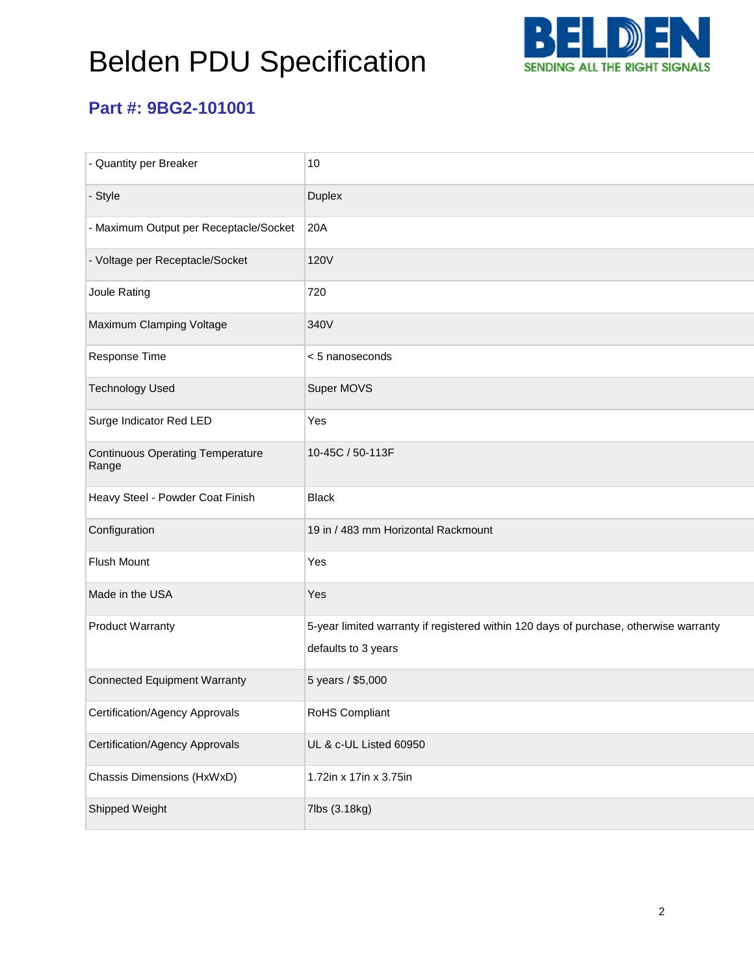# Belden PDU Specification



## **Part #: 9BG2-101001**

| - Quantity per Breaker                           | 10                                                                                                           |
|--------------------------------------------------|--------------------------------------------------------------------------------------------------------------|
| - Style                                          | Duplex                                                                                                       |
| - Maximum Output per Receptacle/Socket           | 20A                                                                                                          |
| - Voltage per Receptacle/Socket                  | <b>120V</b>                                                                                                  |
| Joule Rating                                     | 720                                                                                                          |
| Maximum Clamping Voltage                         | 340V                                                                                                         |
| Response Time                                    | < 5 nanoseconds                                                                                              |
| <b>Technology Used</b>                           | Super MOVS                                                                                                   |
| Surge Indicator Red LED                          | Yes                                                                                                          |
| <b>Continuous Operating Temperature</b><br>Range | 10-45C / 50-113F                                                                                             |
| Heavy Steel - Powder Coat Finish                 | <b>Black</b>                                                                                                 |
| Configuration                                    | 19 in / 483 mm Horizontal Rackmount                                                                          |
| <b>Flush Mount</b>                               | Yes                                                                                                          |
| Made in the USA                                  | Yes                                                                                                          |
| <b>Product Warranty</b>                          | 5-year limited warranty if registered within 120 days of purchase, otherwise warranty<br>defaults to 3 years |
| <b>Connected Equipment Warranty</b>              | 5 years / \$5,000                                                                                            |
| Certification/Agency Approvals                   | RoHS Compliant                                                                                               |
| <b>Certification/Agency Approvals</b>            | UL & c-UL Listed 60950                                                                                       |
| Chassis Dimensions (HxWxD)                       | 1.72in x 17in x 3.75in                                                                                       |
| Shipped Weight                                   | 7lbs (3.18kg)                                                                                                |